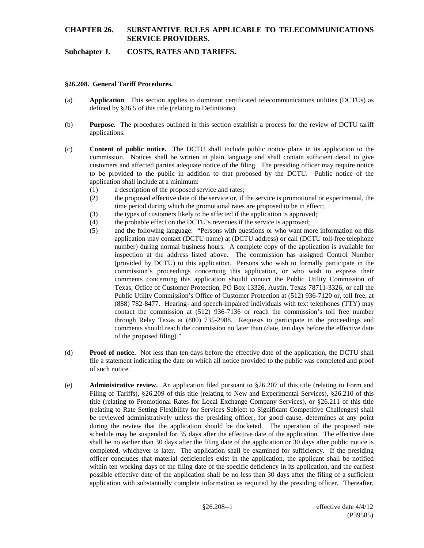# **CHAPTER 26. SUBSTANTIVE RULES APPLICABLE TO TELECOMMUNICATIONS SERVICE PROVIDERS.**

# **Subchapter J. COSTS, RATES AND TARIFFS.**

#### **§26.208. General Tariff Procedures.**

- (a) **Application**. This section applies to dominant certificated telecommunications utilities (DCTUs) as defined by §26.5 of this title (relating to Definitions).
- (b) **Purpose.** The procedures outlined in this section establish a process for the review of DCTU tariff applications.
- (c) **Content of public notice.** The DCTU shall include public notice plans in its application to the commission. Notices shall be written in plain language and shall contain sufficient detail to give customers and affected parties adequate notice of the filing. The presiding officer may require notice to be provided to the public in addition to that proposed by the DCTU. Public notice of the application shall include at a minimum:
	- (1) a description of the proposed service and rates;
	- (2) the proposed effective date of the service or, if the service is promotional or experimental, the time period during which the promotional rates are proposed to be in effect;
	- (3) the types of customers likely to be affected if the application is approved;
	- (4) the probable effect on the DCTU's revenues if the service is approved;
	- (5) and the following language: "Persons with questions or who want more information on this application may contact (DCTU name) at (DCTU address) or call (DCTU toll-free telephone number) during normal business hours. A complete copy of the application is available for inspection at the address listed above. The commission has assigned Control Number (provided by DCTU) to this application. Persons who wish to formally participate in the commission's proceedings concerning this application, or who wish to express their comments concerning this application should contact the Public Utility Commission of Texas, Office of Customer Protection, PO Box 13326, Austin, Texas 78711-3326, or call the Public Utility Commission's Office of Customer Protection at (512) 936-7120 or, toll free, at (888) 782-8477. Hearing- and speech-impaired individuals with text telephones (TTY) may contact the commission at (512) 936-7136 or reach the commission's toll free number through Relay Texas at (800) 735-2988. Requests to participate in the proceedings and comments should reach the commission no later than (date, ten days before the effective date of the proposed filing)."
- (d) **Proof of notice.** Not less than ten days before the effective date of the application, the DCTU shall file a statement indicating the date on which all notice provided to the public was completed and proof of such notice.
- (e) **Administrative review.** An application filed pursuant to §26.207 of this title (relating to Form and Filing of Tariffs), §26.209 of this title (relating to New and Experimental Services), §26.210 of this title (relating to Promotional Rates for Local Exchange Company Services), or §26.211 of this title (relating to Rate Setting Flexibility for Services Subject to Significant Competitive Challenges) shall be reviewed administratively unless the presiding officer, for good cause, determines at any point during the review that the application should be docketed. The operation of the proposed rate schedule may be suspended for 35 days after the effective date of the application. The effective date shall be no earlier than 30 days after the filing date of the application or 30 days after public notice is completed, whichever is later. The application shall be examined for sufficiency. If the presiding officer concludes that material deficiencies exist in the application, the applicant shall be notified within ten working days of the filing date of the specific deficiency in its application, and the earliest possible effective date of the application shall be no less than 30 days after the filing of a sufficient application with substantially complete information as required by the presiding officer. Thereafter,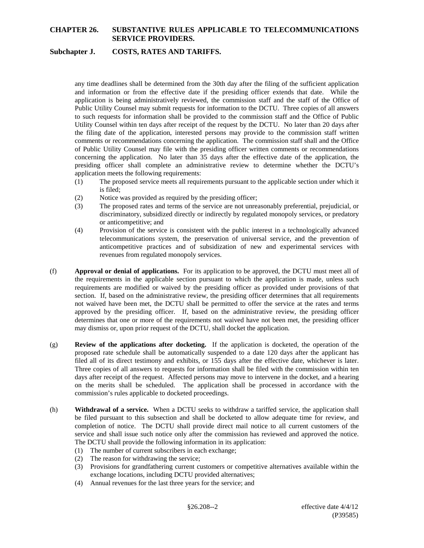# **CHAPTER 26. SUBSTANTIVE RULES APPLICABLE TO TELECOMMUNICATIONS SERVICE PROVIDERS.**

#### **Subchapter J. COSTS, RATES AND TARIFFS.**

any time deadlines shall be determined from the 30th day after the filing of the sufficient application and information or from the effective date if the presiding officer extends that date. While the application is being administratively reviewed, the commission staff and the staff of the Office of Public Utility Counsel may submit requests for information to the DCTU. Three copies of all answers to such requests for information shall be provided to the commission staff and the Office of Public Utility Counsel within ten days after receipt of the request by the DCTU. No later than 20 days after the filing date of the application, interested persons may provide to the commission staff written comments or recommendations concerning the application. The commission staff shall and the Office of Public Utility Counsel may file with the presiding officer written comments or recommendations concerning the application. No later than 35 days after the effective date of the application, the presiding officer shall complete an administrative review to determine whether the DCTU's application meets the following requirements:

- (1) The proposed service meets all requirements pursuant to the applicable section under which it is filed;
- (2) Notice was provided as required by the presiding officer;
- (3) The proposed rates and terms of the service are not unreasonably preferential, prejudicial, or discriminatory, subsidized directly or indirectly by regulated monopoly services, or predatory or anticompetitive; and
- (4) Provision of the service is consistent with the public interest in a technologically advanced telecommunications system, the preservation of universal service, and the prevention of anticompetitive practices and of subsidization of new and experimental services with revenues from regulated monopoly services.
- (f) **Approval or denial of applications.** For its application to be approved, the DCTU must meet all of the requirements in the applicable section pursuant to which the application is made, unless such requirements are modified or waived by the presiding officer as provided under provisions of that section. If, based on the administrative review, the presiding officer determines that all requirements not waived have been met, the DCTU shall be permitted to offer the service at the rates and terms approved by the presiding officer. If, based on the administrative review, the presiding officer determines that one or more of the requirements not waived have not been met, the presiding officer may dismiss or, upon prior request of the DCTU, shall docket the application.
- (g) **Review of the applications after docketing.** If the application is docketed, the operation of the proposed rate schedule shall be automatically suspended to a date 120 days after the applicant has filed all of its direct testimony and exhibits, or 155 days after the effective date, whichever is later. Three copies of all answers to requests for information shall be filed with the commission within ten days after receipt of the request. Affected persons may move to intervene in the docket, and a hearing on the merits shall be scheduled. The application shall be processed in accordance with the commission's rules applicable to docketed proceedings.
- (h) **Withdrawal of a service.** When a DCTU seeks to withdraw a tariffed service, the application shall be filed pursuant to this subsection and shall be docketed to allow adequate time for review, and completion of notice. The DCTU shall provide direct mail notice to all current customers of the service and shall issue such notice only after the commission has reviewed and approved the notice. The DCTU shall provide the following information in its application:
	- (1) The number of current subscribers in each exchange;
	- (2) The reason for withdrawing the service;
	- (3) Provisions for grandfathering current customers or competitive alternatives available within the exchange locations, including DCTU provided alternatives;
	- (4) Annual revenues for the last three years for the service; and